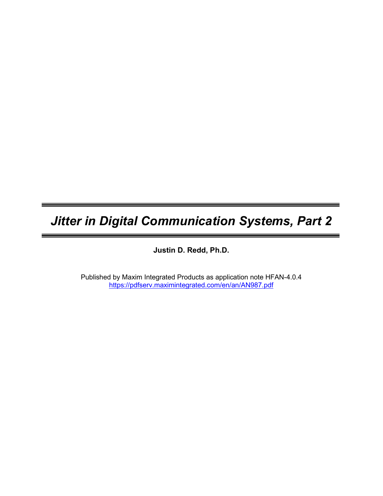# Jitter in Digital Communication Systems, Part 2

Justin D. Redd, Ph.D.

Published by Maxim Integrated Products as application note HFAN-4.0.4 https://pdfserv.maximintegrated.com/en/an/AN987.pdf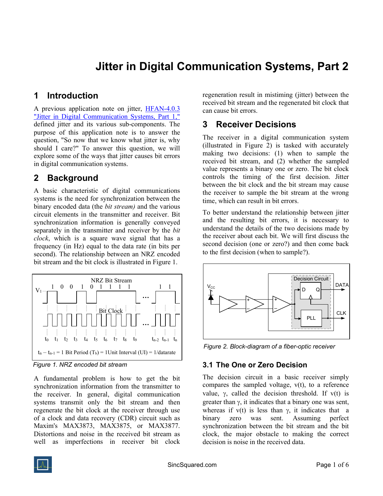## Jitter in Digital Communication Systems, Part 2

## 1 Introduction

A previous application note on jitter, HFAN-4.0.3 "Jitter in Digital Communication Systems, Part 1," defined jitter and its various sub-components. The purpose of this application note is to answer the question, "So now that we know what jitter is, why should I care?" To answer this question, we will explore some of the ways that jitter causes bit errors in digital communication systems.

## 2 Background

A basic characteristic of digital communications systems is the need for synchronization between the binary encoded data (the *bit stream*) and the various circuit elements in the transmitter and receiver. Bit synchronization information is generally conveyed separately in the transmitter and receiver by the *bit* clock, which is a square wave signal that has a frequency (in Hz) equal to the data rate (in bits per second). The relationship between an NRZ encoded bit stream and the bit clock is illustrated in Figure 1.



Figure 1. NRZ encoded bit stream

A fundamental problem is how to get the bit synchronization information from the transmitter to the receiver. In general, digital communication systems transmit only the bit stream and then regenerate the bit clock at the receiver through use of a clock and data recovery (CDR) circuit such as Maxim's MAX3873, MAX3875, or MAX3877. Distortions and noise in the received bit stream as well as imperfections in receiver bit clock regeneration result in mistiming (jitter) between the received bit stream and the regenerated bit clock that can cause bit errors.

## 3 Receiver Decisions

The receiver in a digital communication system (illustrated in Figure 2) is tasked with accurately making two decisions: (1) when to sample the received bit stream, and (2) whether the sampled value represents a binary one or zero. The bit clock controls the timing of the first decision. Jitter between the bit clock and the bit stream may cause the receiver to sample the bit stream at the wrong time, which can result in bit errors.

To better understand the relationship between jitter and the resulting bit errors, it is necessary to understand the details of the two decisions made by the receiver about each bit. We will first discuss the second decision (one or zero?) and then come back to the first decision (when to sample?).



Figure 2. Block-diagram of a fiber-optic receiver

## 3.1 The One or Zero Decision

The decision circuit in a basic receiver simply compares the sampled voltage,  $v(t)$ , to a reference value,  $\gamma$ , called the decision threshold. If  $v(t)$  is greater than  $\gamma$ , it indicates that a binary one was sent, whereas if  $v(t)$  is less than  $\gamma$ , it indicates that a binary zero was sent. Assuming perfect synchronization between the bit stream and the bit clock, the major obstacle to making the correct decision is noise in the received data.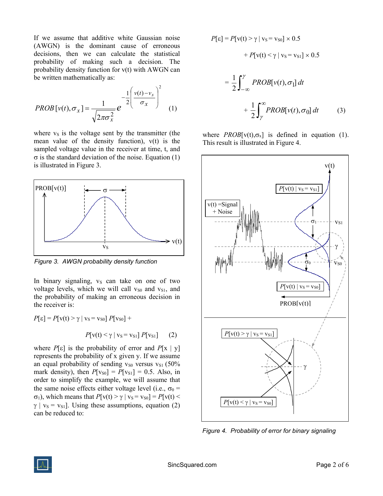If we assume that additive white Gaussian noise (AWGN) is the dominant cause of erroneous decisions, then we can calculate the statistical probability of making such a decision. The probability density function for v(t) with AWGN can be written mathematically as:

$$
PROB[v(t), \sigma_x] = \frac{1}{\sqrt{2\pi\sigma_x^2}} e^{-\frac{1}{2}\left(\frac{v(t) - v_s}{\sigma_x}\right)^2}
$$
 (1)

where  $v<sub>S</sub>$  is the voltage sent by the transmitter (the mean value of the density function), v(t) is the sampled voltage value in the receiver at time, t, and  $\sigma$  is the standard deviation of the noise. Equation (1) is illustrated in Figure 3.



Figure 3. AWGN probability density function

In binary signaling,  $v<sub>S</sub>$  can take on one of two voltage levels, which we will call  $v_{S0}$  and  $v_{S1}$ , and the probability of making an erroneous decision in the receiver is:

$$
P[\varepsilon] = P[v(t) > \gamma \mid v_{\rm S} = v_{\rm S0}] P[v_{\rm S0}] +
$$

$$
P[v(t) < \gamma \mid v_{\rm S} = v_{\rm S1}] P[v_{\rm S1}] \qquad (2)
$$

where  $P[\varepsilon]$  is the probability of error and  $P[x | y]$ represents the probability of x given y. If we assume an equal probability of sending  $v_{S0}$  versus  $v_{S1}$  (50%) mark density), then  $P[v_{S0}] = P[v_{S1}] = 0.5$ . Also, in order to simplify the example, we will assume that the same noise effects either voltage level (i.e.,  $\sigma_0$  =  $\sigma_1$ ), which means that  $P[v(t) > \gamma | v_s = v_{s0}] = P[v(t) <$  $\gamma$  | v<sub>S</sub> = v<sub>S1</sub>]. Using these assumptions, equation (2) can be reduced to:

$$
P[\varepsilon] = P[v(t) > \gamma \mid v_{S} = v_{S0}] \times 0.5
$$
  
+ 
$$
P[v(t) < \gamma \mid v_{S} = v_{S1}] \times 0.5
$$
  
= 
$$
\frac{1}{2} \int_{-\infty}^{\gamma} PROB[v(t), \sigma_{1}] dt
$$
  
+ 
$$
\frac{1}{2} \int_{\gamma}^{\infty} PROB[v(t), \sigma_{0}] dt
$$
 (3)

where  $PROB[v(t), \sigma_x]$  is defined in equation (1). This result is illustrated in Figure 4.



Figure 4. Probability of error for binary signaling

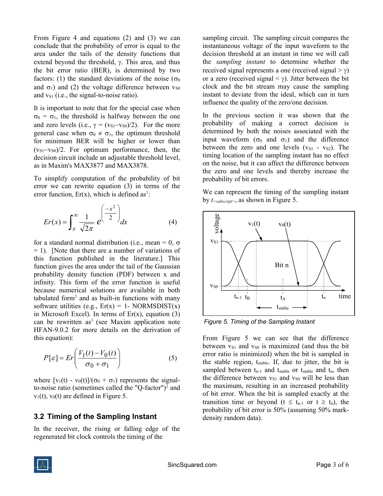From Figure 4 and equations (2) and (3) we can conclude that the probability of error is equal to the area under the tails of the density functions that extend beyond the threshold,  $\gamma$ . This area, and thus the bit error ratio (BER), is determined by two factors: (1) the standard deviations of the noise ( $\sigma_0$ ) and  $\sigma_1$ ) and (2) the voltage difference between  $v_{\rm S0}$ and  $v_{S1}$  (i.e., the signal-to-noise ratio).

It is important to note that for the special case when  $\sigma_0 = \sigma_1$ , the threshold is halfway between the one and zero levels (i.e.,  $\gamma = (v_{S1}-v_{S0})/2$ ). For the more general case when  $\sigma_0 \neq \sigma_1$ , the optimum threshold for minimum BER will be higher or lower than  $(v_{S1}-v_{S0})/2$ . For optimum performance, then, the decision circuit include an adjustable threshold level, as in Maxim's MAX3877 and MAX3878.

To simplify computation of the probability of bit error we can rewrite equation (3) in terms of the error function,  $Er(x)$ , which is defined as<sup>1</sup>:

$$
Er(x) = \int_{x}^{\infty} \frac{1}{\sqrt{2\pi}} e^{\left(\frac{-x^2}{2}\right)} dx
$$
 (4)

for a standard normal distribution (i.e., mean = 0,  $\sigma$ )  $= 1$ ). [Note that there are a number of variations of this function published in the literature.] This function gives the area under the tail of the Gaussian probability density function (PDF) between x and infinity. This form of the error function is useful because numerical solutions are available in both tabulated form<sup>1</sup> and as built-in functions with many software utilities (e.g.,  $Er(x) = 1$ - NORMSDIST(x) in Microsoft Excel). In terms of  $Er(x)$ , equation (3) can be rewritten as<sup>1</sup> (see Maxim application note HFAN-9.0.2 for more details on the derivation of this equation):

$$
P[\varepsilon] = Er\left(\frac{V_1(t) - V_0(t)}{\sigma_0 + \sigma_1}\right) \tag{5}
$$

where  $[v_1(t) - v_0(t)]/(\sigma_0 + \sigma_1)$  represents the signalto-noise ratio (sometimes called the "Q-factor")<sup>2</sup> and  $v_1(t)$ ,  $v_0(t)$  are defined in Figure 5.

#### 3.2 Timing of the Sampling Instant

In the receiver, the rising or falling edge of the regenerated bit clock controls the timing of the

sampling circuit. The sampling circuit compares the instantaneous voltage of the input waveform to the decision threshold at an instant in time we will call the sampling instant to determine whether the received signal represents a one (received signal  $> \gamma$ ) or a zero (received signal  $\langle \gamma \rangle$ ). Jitter between the bit clock and the bit stream may cause the sampling instant to deviate from the ideal, which can in turn influence the quality of the zero/one decision.

In the previous section it was shown that the probability of making a correct decision is determined by both the noises associated with the input waveform  $(\sigma_0$  and  $\sigma_1$ ) and the difference between the zero and one levels  $(v_{S1} - v_{S2})$ . The timing location of the sampling instant has no effect on the noise, but it can affect the difference between the zero and one levels and thereby increase the probability of bit errors.

We can represent the timing of the sampling instant by  $t_{\leq subscripts}$ , as shown in Figure 5.



Figure 5. Timing of the Sampling Instant

From Figure 5 we can see that the difference between  $v_{S1}$  and  $v_{S0}$  is maximized (and thus the bit error ratio is minimized) when the bit is sampled in the stable region,  $t_{stable}$ . If, due to jitter, the bit is sampled between  $t_{n-1}$  and  $t_{stable}$  or  $t_{stable}$  and  $t_n$ , then the difference between  $v_{S1}$  and  $v_{S0}$  will be less than the maximum, resulting in an increased probability of bit error. When the bit is sampled exactly at the transition time or beyond ( $t \leq t_{n-1}$  or  $t \geq t_n$ ), the probability of bit error is 50% (assuming 50% markdensity random data).

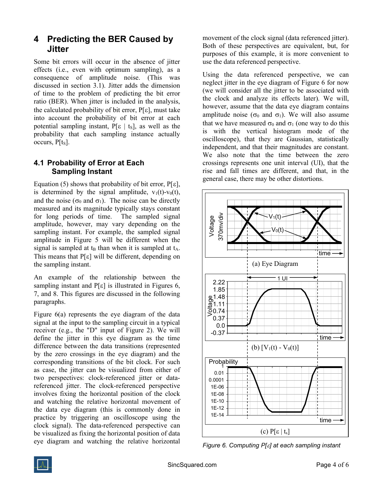## 4 Predicting the BER Caused by Jitter

Some bit errors will occur in the absence of jitter effects (i.e., even with optimum sampling), as a consequence of amplitude noise. (This was discussed in section 3.1). Jitter adds the dimension of time to the problem of predicting the bit error ratio (BER). When jitter is included in the analysis, the calculated probability of bit error,  $P[\epsilon]$ , must take into account the probability of bit error at each potential sampling instant,  $P[\varepsilon | t_s]$ , as well as the probability that each sampling instance actually occurs,  $P[t<sub>s</sub>]$ .

### 4.1 Probability of Error at Each Sampling Instant

Equation (5) shows that probability of bit error,  $P[\epsilon]$ , is determined by the signal amplitude,  $v_1(t)-v_0(t)$ , and the noise ( $\sigma_0$  and  $\sigma_1$ ). The noise can be directly measured and its magnitude typically stays constant for long periods of time. The sampled signal amplitude, however, may vary depending on the sampling instant. For example, the sampled signal amplitude in Figure 5 will be different when the signal is sampled at  $t_B$  than when it is sampled at  $t_A$ . This means that  $P[\epsilon]$  will be different, depending on the sampling instant.

An example of the relationship between the sampling instant and  $P[\varepsilon]$  is illustrated in Figures 6, 7, and 8. This figures are discussed in the following paragraphs.

Figure 6(a) represents the eye diagram of the data signal at the input to the sampling circuit in a typical receiver (e.g., the "D" input of Figure 2). We will define the jitter in this eye diagram as the time difference between the data transitions (represented by the zero crossings in the eye diagram) and the corresponding transitions of the bit clock. For such as case, the jitter can be visualized from either of two perspectives: clock-referenced jitter or datareferenced jitter. The clock-referenced perspective involves fixing the horizontal position of the clock and watching the relative horizontal movement of the data eye diagram (this is commonly done in practice by triggering an oscilloscope using the clock signal). The data-referenced perspective can be visualized as fixing the horizontal position of data eye diagram and watching the relative horizontal

movement of the clock signal (data referenced jitter). Both of these perspectives are equivalent, but, for purposes of this example, it is more convenient to use the data referenced perspective.

Using the data referenced perspective, we can neglect jitter in the eye diagram of Figure 6 for now (we will consider all the jitter to be associated with the clock and analyze its effects later). We will, however, assume that the data eye diagram contains amplitude noise ( $\sigma_0$  and  $\sigma_1$ ). We will also assume that we have measured  $\sigma_0$  and  $\sigma_1$  (one way to do this is with the vertical histogram mode of the oscilloscope), that they are Gaussian, statistically independent, and that their magnitudes are constant. We also note that the time between the zero crossings represents one unit interval (UI), that the rise and fall times are different, and that, in the general case, there may be other distortions.



Figure 6. Computing  $P[\varepsilon]$  at each sampling instant

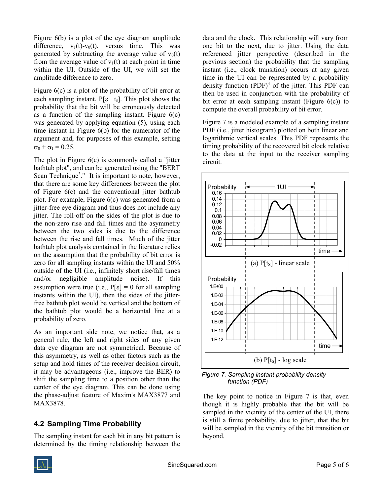Figure 6(b) is a plot of the eye diagram amplitude difference,  $v_1(t)-v_0(t)$ , versus time. This was generated by subtracting the average value of  $v_0(t)$ from the average value of  $v_1(t)$  at each point in time within the UI. Outside of the UI, we will set the amplitude difference to zero.

Figure 6(c) is a plot of the probability of bit error at each sampling instant,  $P[\varepsilon | t_s]$ . This plot shows the probability that the bit will be erroneously detected as a function of the sampling instant. Figure  $6(c)$ was generated by applying equation (5), using each time instant in Figure 6(b) for the numerator of the argument and, for purposes of this example, setting  $\sigma_0 + \sigma_1 = 0.25$ .

The plot in Figure 6(c) is commonly called a "jitter bathtub plot", and can be generated using the "BERT Scan Technique<sup>3</sup>." It is important to note, however, that there are some key differences between the plot of Figure 6(c) and the conventional jitter bathtub plot. For example, Figure 6(c) was generated from a jitter-free eye diagram and thus does not include any jitter. The roll-off on the sides of the plot is due to the non-zero rise and fall times and the asymmetry between the two sides is due to the difference between the rise and fall times. Much of the jitter bathtub plot analysis contained in the literature relies on the assumption that the probability of bit error is zero for all sampling instants within the UI and 50% outside of the UI (i.e., infinitely short rise/fall times and/or negligible amplitude noise). If this assumption were true (i.e.,  $P[\epsilon] = 0$  for all sampling instants within the UI), then the sides of the jitterfree bathtub plot would be vertical and the bottom of the bathtub plot would be a horizontal line at a probability of zero.

As an important side note, we notice that, as a general rule, the left and right sides of any given data eye diagram are not symmetrical. Because of this asymmetry, as well as other factors such as the setup and hold times of the receiver decision circuit, it may be advantageous (i.e., improve the BER) to shift the sampling time to a position other than the center of the eye diagram. This can be done using the phase-adjust feature of Maxim's MAX3877 and MAX3878.

#### 4.2 Sampling Time Probability

The sampling instant for each bit in any bit pattern is determined by the timing relationship between the data and the clock. This relationship will vary from one bit to the next, due to jitter. Using the data referenced jitter perspective (described in the previous section) the probability that the sampling instant (i.e., clock transition) occurs at any given time in the UI can be represented by a probability density function (PDF)<sup>4</sup> of the jitter. This PDF can then be used in conjunction with the probability of bit error at each sampling instant (Figure 6(c)) to compute the overall probability of bit error.

Figure 7 is a modeled example of a sampling instant PDF (i.e., jitter histogram) plotted on both linear and logarithmic vertical scales. This PDF represents the timing probability of the recovered bit clock relative to the data at the input to the receiver sampling circuit.



Figure 7. Sampling instant probability density function (PDF)

The key point to notice in Figure 7 is that, even though it is highly probable that the bit will be sampled in the vicinity of the center of the UI, there is still a finite probability, due to jitter, that the bit will be sampled in the vicinity of the bit transition or beyond.